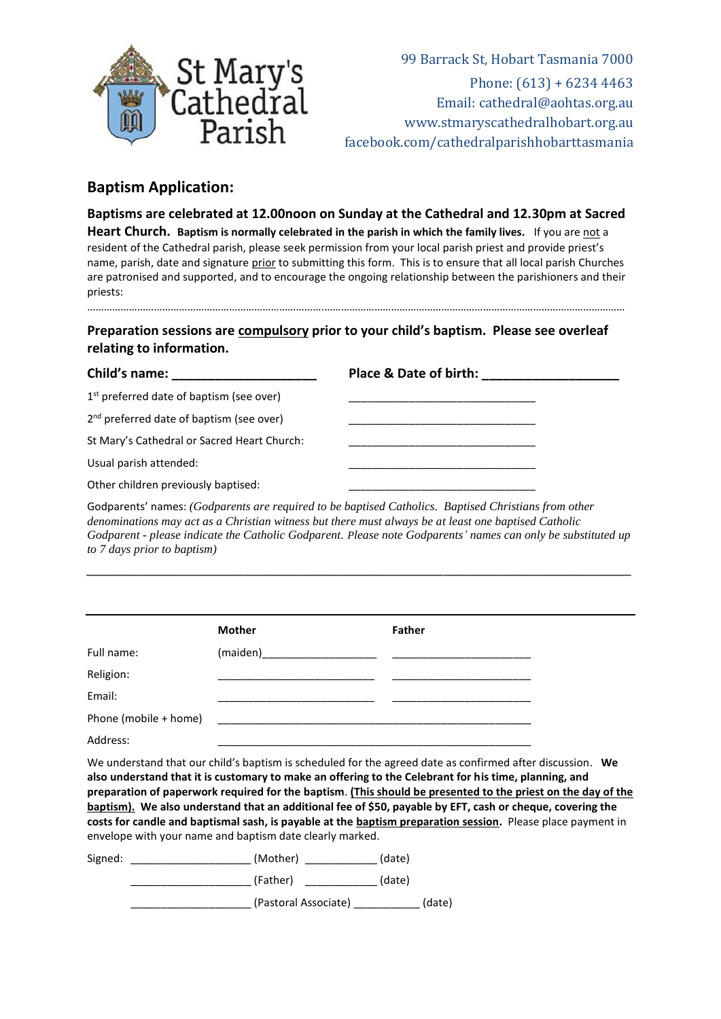

99 Barrack St, Hobart Tasmania 7000 Phone: (613) + 6234 4463 Email: cathedral@aohtas.org.au [www.stmaryscathedralhobart.org.au](http://www.stmaryscathedralhobart.org.au/) facebook.com/cathedralparishhobarttasmania

## **Baptism Application:**

**Baptisms are celebrated at 12.00noon on Sunday at the Cathedral and 12.30pm at Sacred Heart Church.** Baptism is normally celebrated in the parish in which the family lives. If you are not a resident of the Cathedral parish, please seek permission from your local parish priest and provide priest's name, parish, date and signature prior to submitting this form. This is to ensure that all local parish Churches are patronised and supported, and to encourage the ongoing relationship between the parishioners and their priests: ………………………………………………………………………….………………………………………………………………………………………………

**Preparation sessions are compulsory prior to your child's baptism. Please see overleaf relating to information.**

| Child's name:                                        | Place & Date of birth: |  |
|------------------------------------------------------|------------------------|--|
| $1st$ preferred date of baptism (see over)           |                        |  |
| 2 <sup>nd</sup> preferred date of baptism (see over) |                        |  |
| St Mary's Cathedral or Sacred Heart Church:          |                        |  |
| Usual parish attended:                               |                        |  |
| Other children previously baptised:                  |                        |  |

Godparents' names: *(Godparents are required to be baptised Catholics. Baptised Christians from other denominations may act as a Christian witness but there must always be at least one baptised Catholic Godparent - please indicate the Catholic Godparent. Please note Godparents' names can only be substituted up to 7 days prior to baptism)*

*\_\_\_\_\_\_\_\_\_\_\_\_\_\_\_\_\_\_\_\_\_\_\_\_\_\_\_\_\_\_\_\_\_\_\_\_\_\_\_\_\_\_\_\_\_\_\_\_\_\_\_\_\_\_\_\_\_\_\_\_\_\_\_\_\_\_\_\_\_\_\_\_\_\_\_\_\_\_\_\_\_\_\_\_\_\_\_\_\_\_*

|                       | <b>Mother</b> | <b>Father</b> |
|-----------------------|---------------|---------------|
| Full name:            |               |               |
| Religion:             |               |               |
| Email:                |               |               |
| Phone (mobile + home) |               |               |
| Address:              |               |               |

We understand that our child's baptism is scheduled for the agreed date as confirmed after discussion. **We also understand that it is customary to make an offering to the Celebrant for his time, planning, and preparation of paperwork required for the baptism**. **(This should be presented to the priest on the day of the baptism). We also understand that an additional fee of \$50, payable by EFT, cash or cheque, covering the costs for candle and baptismal sash, is payable at the baptism preparation session.** Please place payment in envelope with your name and baptism date clearly marked.

| Signed: | (Mother)             | (date) |
|---------|----------------------|--------|
|         | (Father)             | (date) |
|         | (Pastoral Associate) | (date) |